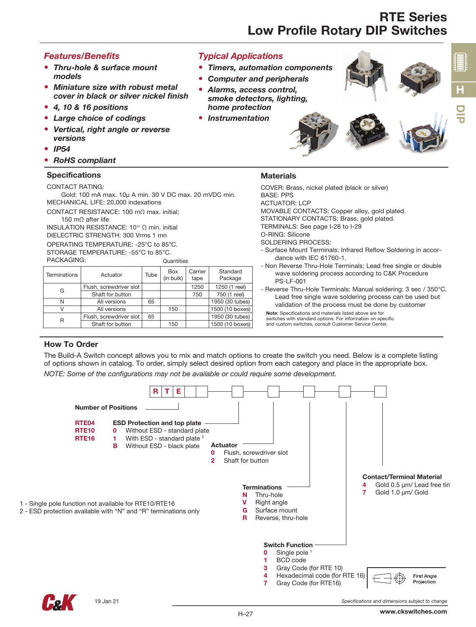# RTE Series Low Profile Rotary DIP Switches

### *Features/Benefits*

- *Thru-hole & surface mount models*
- *Miniature size with robust metal cover in black or silver nickel finish*
- *4, 10 & 16 positions*
- *Large choice of codings*
- *Vertical, right angle or reverse versions*
- *IP54*
- *RoHS compliant*

#### **Specifications**

CONTACT RATING:

Gold: 100 mA max. 10µ A min. 30 V DC max. 20 mVDC min. MECHANICAL LIFE: 20,000 indexations

CONTACT RESISTANCE: 100 mΩ max. initial; 150 mΩ after life

INSULATION RESISTANCE: 10<sup>10</sup> Ω min. initial

DIELECTRIC STRENGTH: 300 Vrms 1 mn

OPERATING TEMPERATURE: -25°C to 85°C. STORAGE TEMPERATURE: -55°C to 85°C. **Quantities** 

PACKAGING:

| Terminations | Actuator                | Tube | <b>Box</b><br>(in bulk) | Carrier<br>tape | Standard<br>Package |
|--------------|-------------------------|------|-------------------------|-----------------|---------------------|
| G            | Flush, screwdriver slot |      |                         | 1250            | 1250 (1 reel)       |
|              | Shaft for button        |      |                         | 750             | 750 (1 reel)        |
| N            | All versions            | 65   |                         |                 | 1950 (30 tubes)     |
|              | All versions            |      | 150                     |                 | 1500 (10 boxes)     |
| R            | Flush, screwdriver slot | 65   |                         |                 | 1950 (30 tubes)     |
|              | Shaft for button        |      | 150                     |                 | 1500 (10 boxes)     |

### *Typical Applications*

- *Timers, automation components*
- *Computer and peripherals*
- *Alarms, access control, smoke detectors, lighting, home protection*
- *Instrumentation*



### **Materials**

COVER: Brass, nickel plated (black or silver) BASE: PPS ACTUATOR: LCP MOVABLE CONTACTS: Copper alloy, gold plated. STATIONARY CONTACTS: Brass, gold plated. TERMINALS: See page I-28 to I-29 O-RING: Silicone SOLDERING PROCESS: - Surface Mount Terminals: Infrared Reflow Soldering in accordance with IEC 61760-1. - Non Reverse Thru-Hole Terminals: Lead free single or double wave soldering process according to C&K Procedure PS-LF-001 - Reverse Thru-Hole Terminals: Manual soldering: 3 sec / 350°C.

Lead free single wave soldering process can be used but validation of the process must be done by customer

Note: Specifications and materials listed above are for switches with standard options. For information on specific and custom switches, consult Customer Service Center.

### How To Order

The Build-A Switch concept allows you to mix and match options to create the switch you need. Below is a complete listing of options shown in catalog. To order, simply select desired option from each category and place in the appropriate box. *NOTE: Some of the configurations may not be available or could require some development.*

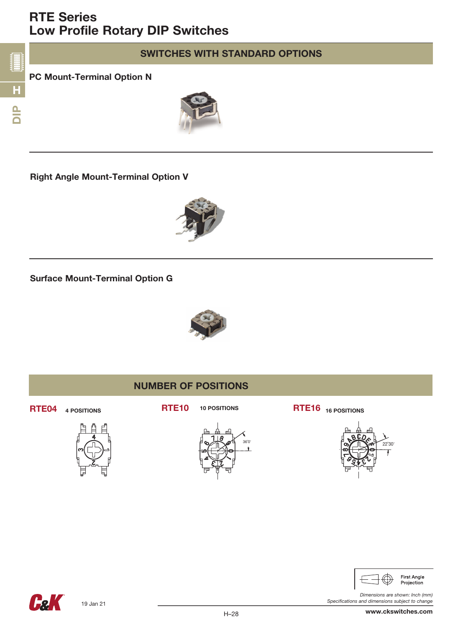# RTE Series Low Profile Rotary DIP Switches



# SWITCHES WITH STANDARD OPTIONS

## PC Mount-Terminal Option N



Right Angle Mount-Terminal Option V



Surface Mount-Terminal Option G









RTE04 4 POSITIONS RTE10 10 POSITIONS RTE16 16 POSITIONS





*Specifications and dimensions subject to change*

**Hel** 

*Dimensions are shown: Inch (mm)* www.ckswitches.com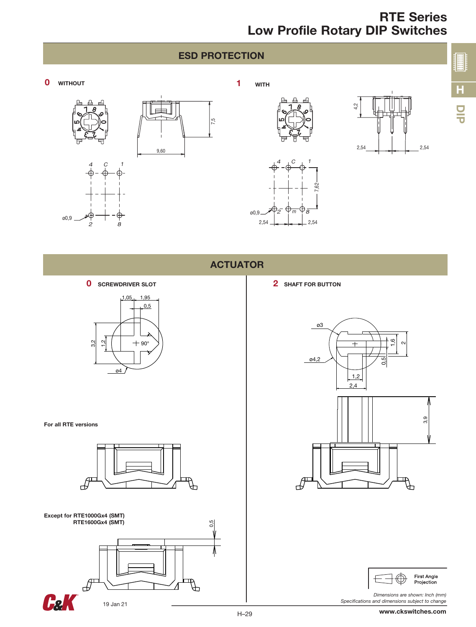## ESD PROTECTION

7,5







4 C 1

 $2,54$  2,54









ø0,9 <sup>2</sup> <sup>m</sup> 8

**0** SCREWDRIVER SLOT

2 8

ø0,9



2 SHAFT FOR BUTTON

7,62





*Dimensions are shown: Inch (mm) Specifications and dimensions subject to change*

For all RTE versions





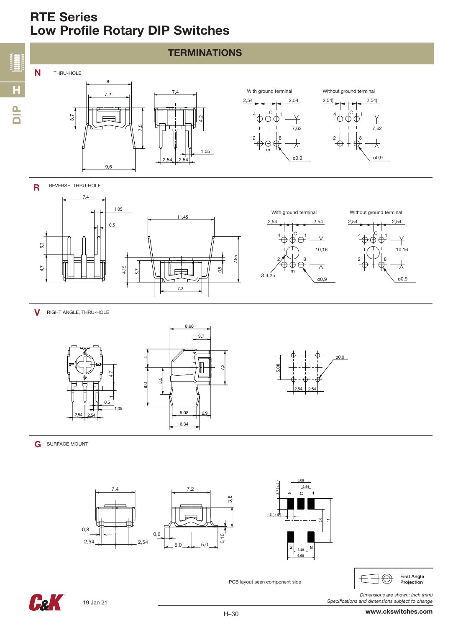# RTE Series Low Profile Rotary DIP Switches





**V** RIGHT ANGLE, THRU-HOLE



 $\overline{\phantom{0}}$ 

**G** SURFACE MOUNT





 $\bigoplus$ First Angle Projection

*Specifications and dimensions subject to change*



PCB layout seen component side

*Dimensions are shown: Inch (mm)*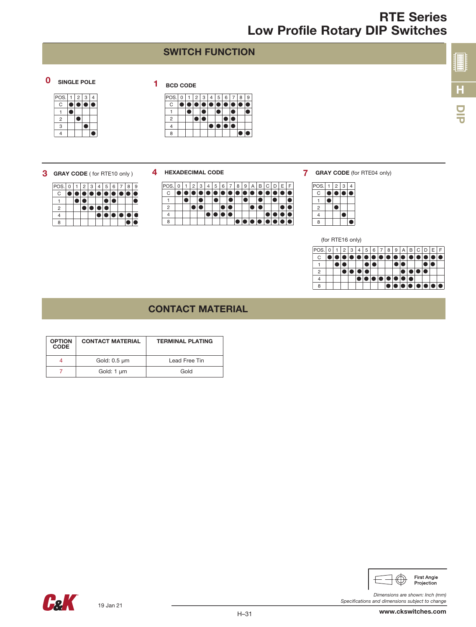## SWITCH FUNCTION

## 0 SINGLE POLE 1 BCD CODE

|                |      | $\overline{c}$ | 3 | 4 |
|----------------|------|----------------|---|---|
| C              |      |                |   |   |
|                |      |                |   |   |
| $\overline{2}$ |      |                |   |   |
| 3              |      |                |   |   |
| 4              |      |                |   |   |
|                | POS. |                |   |   |

| POS. |  | $2 \mid 3$ |  | 6 |  | 9 |
|------|--|------------|--|---|--|---|
| C    |  |            |  |   |  |   |
|      |  |            |  |   |  |   |
| 2    |  |            |  |   |  |   |
|      |  |            |  |   |  |   |
|      |  |            |  |   |  |   |

#### 3 GRAY CODE ( for RTE10 only )

- POS. 0 | 1 | 2 | 3 | 4 | 5 | 6 | 7 | 8 | 9 C 1 2 4  $\blacksquare$ 8
- 4 HEXADECIMAL CODE



**7** GRAY CODE (for RTE04 only)

| POS.           | $\sqrt{2}$ | 3 | 4 |
|----------------|------------|---|---|
| C              |            |   |   |
|                |            |   |   |
| $\overline{2}$ |            |   |   |
| 4              |            |   |   |
| $\mathsf{R}$   |            |   |   |

(for RTE16 only)

| POS.         | 0 | $\overline{2}$ | 13. | $\overline{4}$ | 5 <sup>1</sup> | 6 | 7 | 8 | 9 | Α | В | С |   |    |      |
|--------------|---|----------------|-----|----------------|----------------|---|---|---|---|---|---|---|---|----|------|
| $\mathsf{C}$ |   |                |     |                |                |   |   |   |   |   |   |   |   |    |      |
|              |   |                |     |                |                |   |   |   |   |   |   |   |   |    |      |
| 2            |   |                |     |                |                |   |   |   |   |   |   |   |   |    |      |
|              |   |                |     |                |                |   |   |   |   |   |   |   |   |    |      |
|              |   |                |     |                |                |   |   |   |   |   |   |   | O | ≀I | ▎▏●▏ |

### CONTACT MATERIAL

| <b>OPTION</b><br><b>CODE</b> | <b>CONTACT MATERIAL</b> | <b>TERMINAL PLATING</b> |
|------------------------------|-------------------------|-------------------------|
|                              | Gold: 0.5 µm            | Lead Free Tin           |
|                              | Gold: 1 µm              | Gold                    |



*Dimensions are shown: Inch (mm)*

H

DIP

**ENTERNATIONAL PROPERTY**